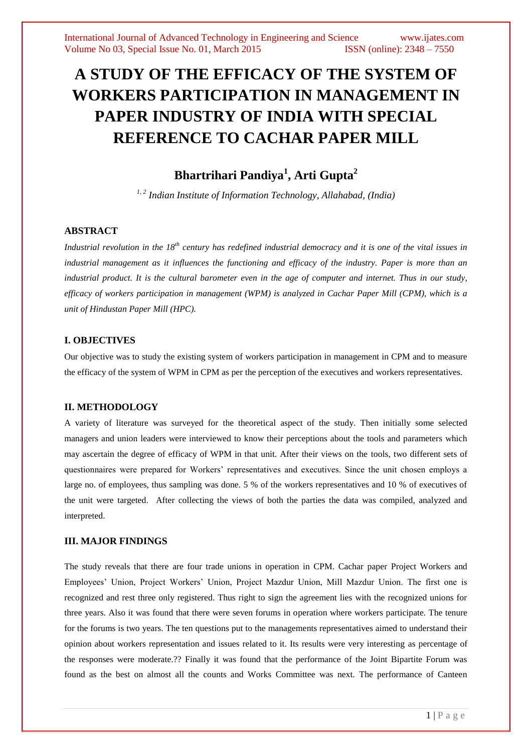# **A STUDY OF THE EFFICACY OF THE SYSTEM OF WORKERS PARTICIPATION IN MANAGEMENT IN PAPER INDUSTRY OF INDIA WITH SPECIAL REFERENCE TO CACHAR PAPER MILL**

# **Bhartrihari Pandiya<sup>1</sup> , Arti Gupta<sup>2</sup>**

*1, 2 Indian Institute of Information Technology, Allahabad, (India)*

#### **ABSTRACT**

*Industrial revolution in the 18th century has redefined industrial democracy and it is one of the vital issues in industrial management as it influences the functioning and efficacy of the industry. Paper is more than an industrial product. It is the cultural barometer even in the age of computer and internet. Thus in our study, efficacy of workers participation in management (WPM) is analyzed in Cachar Paper Mill (CPM), which is a unit of Hindustan Paper Mill (HPC).*

#### **I. OBJECTIVES**

Our objective was to study the existing system of workers participation in management in CPM and to measure the efficacy of the system of WPM in CPM as per the perception of the executives and workers representatives.

## **II. METHODOLOGY**

A variety of literature was surveyed for the theoretical aspect of the study. Then initially some selected managers and union leaders were interviewed to know their perceptions about the tools and parameters which may ascertain the degree of efficacy of WPM in that unit. After their views on the tools, two different sets of questionnaires were prepared for Workers' representatives and executives. Since the unit chosen employs a large no. of employees, thus sampling was done. 5 % of the workers representatives and 10 % of executives of the unit were targeted. After collecting the views of both the parties the data was compiled, analyzed and interpreted.

#### **III. MAJOR FINDINGS**

The study reveals that there are four trade unions in operation in CPM. Cachar paper Project Workers and Employees' Union, Project Workers' Union, Project Mazdur Union, Mill Mazdur Union. The first one is recognized and rest three only registered. Thus right to sign the agreement lies with the recognized unions for three years. Also it was found that there were seven forums in operation where workers participate. The tenure for the forums is two years. The ten questions put to the managements representatives aimed to understand their opinion about workers representation and issues related to it. Its results were very interesting as percentage of the responses were moderate.?? Finally it was found that the performance of the Joint Bipartite Forum was found as the best on almost all the counts and Works Committee was next. The performance of Canteen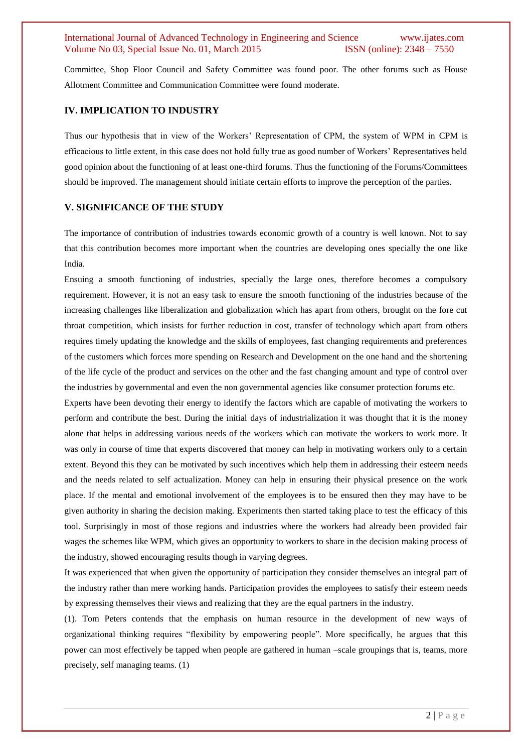Committee, Shop Floor Council and Safety Committee was found poor. The other forums such as House Allotment Committee and Communication Committee were found moderate.

#### **IV. IMPLICATION TO INDUSTRY**

Thus our hypothesis that in view of the Workers' Representation of CPM, the system of WPM in CPM is efficacious to little extent, in this case does not hold fully true as good number of Workers' Representatives held good opinion about the functioning of at least one-third forums. Thus the functioning of the Forums/Committees should be improved. The management should initiate certain efforts to improve the perception of the parties.

#### **V. SIGNIFICANCE OF THE STUDY**

The importance of contribution of industries towards economic growth of a country is well known. Not to say that this contribution becomes more important when the countries are developing ones specially the one like India.

Ensuing a smooth functioning of industries, specially the large ones, therefore becomes a compulsory requirement. However, it is not an easy task to ensure the smooth functioning of the industries because of the increasing challenges like liberalization and globalization which has apart from others, brought on the fore cut throat competition, which insists for further reduction in cost, transfer of technology which apart from others requires timely updating the knowledge and the skills of employees, fast changing requirements and preferences of the customers which forces more spending on Research and Development on the one hand and the shortening of the life cycle of the product and services on the other and the fast changing amount and type of control over the industries by governmental and even the non governmental agencies like consumer protection forums etc.

Experts have been devoting their energy to identify the factors which are capable of motivating the workers to perform and contribute the best. During the initial days of industrialization it was thought that it is the money alone that helps in addressing various needs of the workers which can motivate the workers to work more. It was only in course of time that experts discovered that money can help in motivating workers only to a certain extent. Beyond this they can be motivated by such incentives which help them in addressing their esteem needs and the needs related to self actualization. Money can help in ensuring their physical presence on the work place. If the mental and emotional involvement of the employees is to be ensured then they may have to be given authority in sharing the decision making. Experiments then started taking place to test the efficacy of this tool. Surprisingly in most of those regions and industries where the workers had already been provided fair wages the schemes like WPM, which gives an opportunity to workers to share in the decision making process of the industry, showed encouraging results though in varying degrees.

It was experienced that when given the opportunity of participation they consider themselves an integral part of the industry rather than mere working hands. Participation provides the employees to satisfy their esteem needs by expressing themselves their views and realizing that they are the equal partners in the industry.

(1). Tom Peters contends that the emphasis on human resource in the development of new ways of organizational thinking requires "flexibility by empowering people". More specifically, he argues that this power can most effectively be tapped when people are gathered in human –scale groupings that is, teams, more precisely, self managing teams. (1)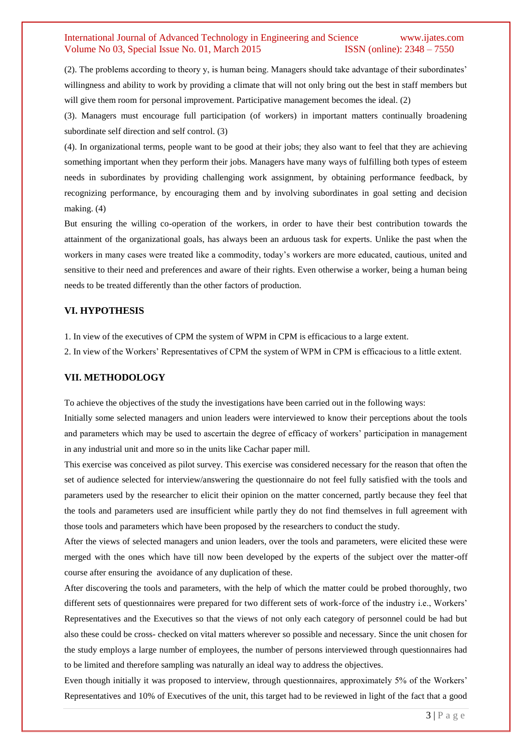(2). The problems according to theory y, is human being. Managers should take advantage of their subordinates' willingness and ability to work by providing a climate that will not only bring out the best in staff members but will give them room for personal improvement. Participative management becomes the ideal. (2)

(3). Managers must encourage full participation (of workers) in important matters continually broadening subordinate self direction and self control. (3)

(4). In organizational terms, people want to be good at their jobs; they also want to feel that they are achieving something important when they perform their jobs. Managers have many ways of fulfilling both types of esteem needs in subordinates by providing challenging work assignment, by obtaining performance feedback, by recognizing performance, by encouraging them and by involving subordinates in goal setting and decision making. (4)

But ensuring the willing co-operation of the workers, in order to have their best contribution towards the attainment of the organizational goals, has always been an arduous task for experts. Unlike the past when the workers in many cases were treated like a commodity, today's workers are more educated, cautious, united and sensitive to their need and preferences and aware of their rights. Even otherwise a worker, being a human being needs to be treated differently than the other factors of production.

#### **VI. HYPOTHESIS**

1. In view of the executives of CPM the system of WPM in CPM is efficacious to a large extent.

2. In view of the Workers' Representatives of CPM the system of WPM in CPM is efficacious to a little extent.

#### **VII. METHODOLOGY**

To achieve the objectives of the study the investigations have been carried out in the following ways:

Initially some selected managers and union leaders were interviewed to know their perceptions about the tools and parameters which may be used to ascertain the degree of efficacy of workers' participation in management in any industrial unit and more so in the units like Cachar paper mill.

This exercise was conceived as pilot survey. This exercise was considered necessary for the reason that often the set of audience selected for interview/answering the questionnaire do not feel fully satisfied with the tools and parameters used by the researcher to elicit their opinion on the matter concerned, partly because they feel that the tools and parameters used are insufficient while partly they do not find themselves in full agreement with those tools and parameters which have been proposed by the researchers to conduct the study.

After the views of selected managers and union leaders, over the tools and parameters, were elicited these were merged with the ones which have till now been developed by the experts of the subject over the matter-off course after ensuring the avoidance of any duplication of these.

After discovering the tools and parameters, with the help of which the matter could be probed thoroughly, two different sets of questionnaires were prepared for two different sets of work-force of the industry i.e., Workers' Representatives and the Executives so that the views of not only each category of personnel could be had but also these could be cross- checked on vital matters wherever so possible and necessary. Since the unit chosen for the study employs a large number of employees, the number of persons interviewed through questionnaires had to be limited and therefore sampling was naturally an ideal way to address the objectives.

Even though initially it was proposed to interview, through questionnaires, approximately 5% of the Workers' Representatives and 10% of Executives of the unit, this target had to be reviewed in light of the fact that a good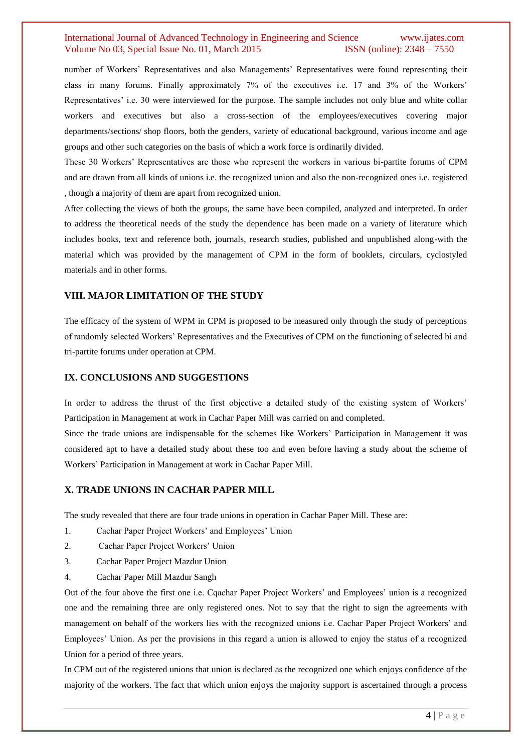number of Workers' Representatives and also Managements' Representatives were found representing their class in many forums. Finally approximately 7% of the executives i.e. 17 and 3% of the Workers' Representatives' i.e. 30 were interviewed for the purpose. The sample includes not only blue and white collar workers and executives but also a cross-section of the employees/executives covering major departments/sections/ shop floors, both the genders, variety of educational background, various income and age groups and other such categories on the basis of which a work force is ordinarily divided.

These 30 Workers' Representatives are those who represent the workers in various bi-partite forums of CPM and are drawn from all kinds of unions i.e. the recognized union and also the non-recognized ones i.e. registered , though a majority of them are apart from recognized union.

After collecting the views of both the groups, the same have been compiled, analyzed and interpreted. In order to address the theoretical needs of the study the dependence has been made on a variety of literature which includes books, text and reference both, journals, research studies, published and unpublished along-with the material which was provided by the management of CPM in the form of booklets, circulars, cyclostyled materials and in other forms.

#### **VIII. MAJOR LIMITATION OF THE STUDY**

The efficacy of the system of WPM in CPM is proposed to be measured only through the study of perceptions of randomly selected Workers' Representatives and the Executives of CPM on the functioning of selected bi and tri-partite forums under operation at CPM.

#### **IX. CONCLUSIONS AND SUGGESTIONS**

In order to address the thrust of the first objective a detailed study of the existing system of Workers' Participation in Management at work in Cachar Paper Mill was carried on and completed.

Since the trade unions are indispensable for the schemes like Workers' Participation in Management it was considered apt to have a detailed study about these too and even before having a study about the scheme of Workers' Participation in Management at work in Cachar Paper Mill.

#### **X. TRADE UNIONS IN CACHAR PAPER MILL**

The study revealed that there are four trade unions in operation in Cachar Paper Mill. These are:

- 1. Cachar Paper Project Workers' and Employees' Union
- 2. Cachar Paper Project Workers' Union
- 3. Cachar Paper Project Mazdur Union
- 4. Cachar Paper Mill Mazdur Sangh

Out of the four above the first one i.e. Cqachar Paper Project Workers' and Employees' union is a recognized one and the remaining three are only registered ones. Not to say that the right to sign the agreements with management on behalf of the workers lies with the recognized unions i.e. Cachar Paper Project Workers' and Employees' Union. As per the provisions in this regard a union is allowed to enjoy the status of a recognized Union for a period of three years.

In CPM out of the registered unions that union is declared as the recognized one which enjoys confidence of the majority of the workers. The fact that which union enjoys the majority support is ascertained through a process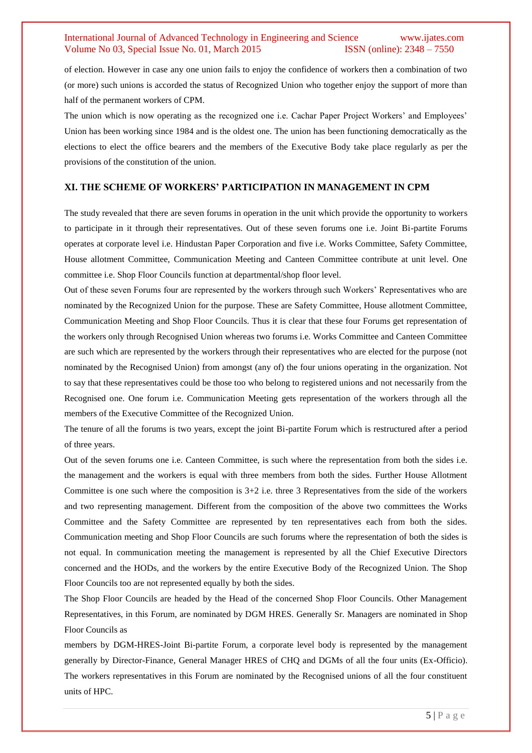of election. However in case any one union fails to enjoy the confidence of workers then a combination of two (or more) such unions is accorded the status of Recognized Union who together enjoy the support of more than half of the permanent workers of CPM.

The union which is now operating as the recognized one i.e. Cachar Paper Project Workers' and Employees' Union has been working since 1984 and is the oldest one. The union has been functioning democratically as the elections to elect the office bearers and the members of the Executive Body take place regularly as per the provisions of the constitution of the union.

# **XI. THE SCHEME OF WORKERS' PARTICIPATION IN MANAGEMENT IN CPM**

The study revealed that there are seven forums in operation in the unit which provide the opportunity to workers to participate in it through their representatives. Out of these seven forums one i.e. Joint Bi-partite Forums operates at corporate level i.e. Hindustan Paper Corporation and five i.e. Works Committee, Safety Committee, House allotment Committee, Communication Meeting and Canteen Committee contribute at unit level. One committee i.e. Shop Floor Councils function at departmental/shop floor level.

Out of these seven Forums four are represented by the workers through such Workers' Representatives who are nominated by the Recognized Union for the purpose. These are Safety Committee, House allotment Committee, Communication Meeting and Shop Floor Councils. Thus it is clear that these four Forums get representation of the workers only through Recognised Union whereas two forums i.e. Works Committee and Canteen Committee are such which are represented by the workers through their representatives who are elected for the purpose (not nominated by the Recognised Union) from amongst (any of) the four unions operating in the organization. Not to say that these representatives could be those too who belong to registered unions and not necessarily from the Recognised one. One forum i.e. Communication Meeting gets representation of the workers through all the members of the Executive Committee of the Recognized Union.

The tenure of all the forums is two years, except the joint Bi-partite Forum which is restructured after a period of three years.

Out of the seven forums one i.e. Canteen Committee, is such where the representation from both the sides i.e. the management and the workers is equal with three members from both the sides. Further House Allotment Committee is one such where the composition is  $3+2$  i.e. three 3 Representatives from the side of the workers and two representing management. Different from the composition of the above two committees the Works Committee and the Safety Committee are represented by ten representatives each from both the sides. Communication meeting and Shop Floor Councils are such forums where the representation of both the sides is not equal. In communication meeting the management is represented by all the Chief Executive Directors concerned and the HODs, and the workers by the entire Executive Body of the Recognized Union. The Shop Floor Councils too are not represented equally by both the sides.

The Shop Floor Councils are headed by the Head of the concerned Shop Floor Councils. Other Management Representatives, in this Forum, are nominated by DGM HRES. Generally Sr. Managers are nominated in Shop Floor Councils as

members by DGM-HRES-Joint Bi-partite Forum, a corporate level body is represented by the management generally by Director-Finance, General Manager HRES of CHQ and DGMs of all the four units (Ex-Officio). The workers representatives in this Forum are nominated by the Recognised unions of all the four constituent units of HPC.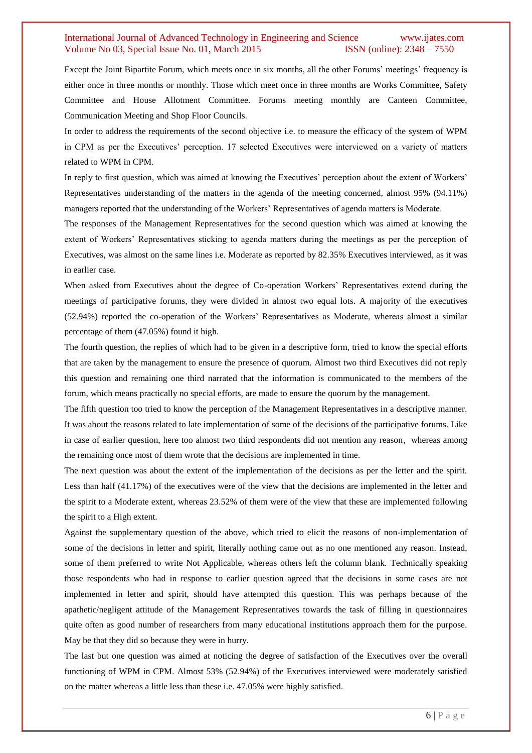Except the Joint Bipartite Forum, which meets once in six months, all the other Forums' meetings' frequency is either once in three months or monthly. Those which meet once in three months are Works Committee, Safety Committee and House Allotment Committee. Forums meeting monthly are Canteen Committee, Communication Meeting and Shop Floor Councils.

In order to address the requirements of the second objective i.e. to measure the efficacy of the system of WPM in CPM as per the Executives' perception. 17 selected Executives were interviewed on a variety of matters related to WPM in CPM.

In reply to first question, which was aimed at knowing the Executives' perception about the extent of Workers' Representatives understanding of the matters in the agenda of the meeting concerned, almost 95% (94.11%) managers reported that the understanding of the Workers' Representatives of agenda matters is Moderate.

The responses of the Management Representatives for the second question which was aimed at knowing the extent of Workers' Representatives sticking to agenda matters during the meetings as per the perception of Executives, was almost on the same lines i.e. Moderate as reported by 82.35% Executives interviewed, as it was in earlier case.

When asked from Executives about the degree of Co-operation Workers' Representatives extend during the meetings of participative forums, they were divided in almost two equal lots. A majority of the executives (52.94%) reported the co-operation of the Workers' Representatives as Moderate, whereas almost a similar percentage of them (47.05%) found it high.

The fourth question, the replies of which had to be given in a descriptive form, tried to know the special efforts that are taken by the management to ensure the presence of quorum. Almost two third Executives did not reply this question and remaining one third narrated that the information is communicated to the members of the forum, which means practically no special efforts, are made to ensure the quorum by the management.

The fifth question too tried to know the perception of the Management Representatives in a descriptive manner. It was about the reasons related to late implementation of some of the decisions of the participative forums. Like in case of earlier question, here too almost two third respondents did not mention any reason, whereas among the remaining once most of them wrote that the decisions are implemented in time.

The next question was about the extent of the implementation of the decisions as per the letter and the spirit. Less than half (41.17%) of the executives were of the view that the decisions are implemented in the letter and the spirit to a Moderate extent, whereas 23.52% of them were of the view that these are implemented following the spirit to a High extent.

Against the supplementary question of the above, which tried to elicit the reasons of non-implementation of some of the decisions in letter and spirit, literally nothing came out as no one mentioned any reason. Instead, some of them preferred to write Not Applicable, whereas others left the column blank. Technically speaking those respondents who had in response to earlier question agreed that the decisions in some cases are not implemented in letter and spirit, should have attempted this question. This was perhaps because of the apathetic/negligent attitude of the Management Representatives towards the task of filling in questionnaires quite often as good number of researchers from many educational institutions approach them for the purpose. May be that they did so because they were in hurry.

The last but one question was aimed at noticing the degree of satisfaction of the Executives over the overall functioning of WPM in CPM. Almost 53% (52.94%) of the Executives interviewed were moderately satisfied on the matter whereas a little less than these i.e. 47.05% were highly satisfied.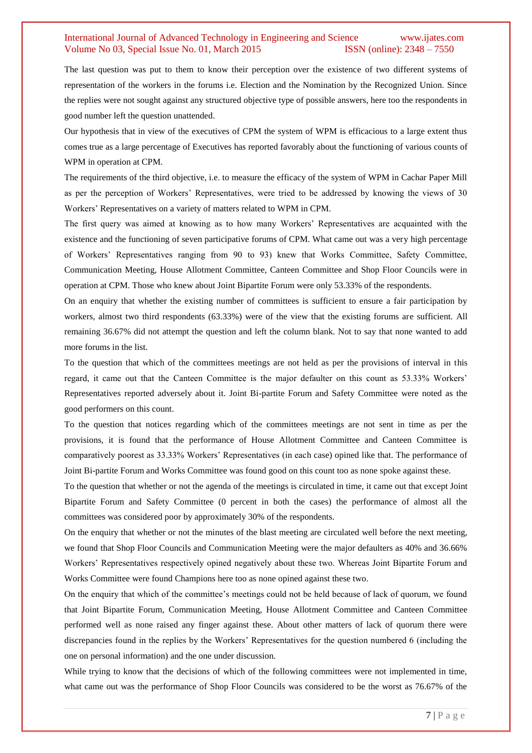The last question was put to them to know their perception over the existence of two different systems of representation of the workers in the forums i.e. Election and the Nomination by the Recognized Union. Since the replies were not sought against any structured objective type of possible answers, here too the respondents in good number left the question unattended.

Our hypothesis that in view of the executives of CPM the system of WPM is efficacious to a large extent thus comes true as a large percentage of Executives has reported favorably about the functioning of various counts of WPM in operation at CPM.

The requirements of the third objective, i.e. to measure the efficacy of the system of WPM in Cachar Paper Mill as per the perception of Workers' Representatives, were tried to be addressed by knowing the views of 30 Workers' Representatives on a variety of matters related to WPM in CPM.

The first query was aimed at knowing as to how many Workers' Representatives are acquainted with the existence and the functioning of seven participative forums of CPM. What came out was a very high percentage of Workers' Representatives ranging from 90 to 93) knew that Works Committee, Safety Committee, Communication Meeting, House Allotment Committee, Canteen Committee and Shop Floor Councils were in operation at CPM. Those who knew about Joint Bipartite Forum were only 53.33% of the respondents.

On an enquiry that whether the existing number of committees is sufficient to ensure a fair participation by workers, almost two third respondents (63.33%) were of the view that the existing forums are sufficient. All remaining 36.67% did not attempt the question and left the column blank. Not to say that none wanted to add more forums in the list.

To the question that which of the committees meetings are not held as per the provisions of interval in this regard, it came out that the Canteen Committee is the major defaulter on this count as 53.33% Workers' Representatives reported adversely about it. Joint Bi-partite Forum and Safety Committee were noted as the good performers on this count.

To the question that notices regarding which of the committees meetings are not sent in time as per the provisions, it is found that the performance of House Allotment Committee and Canteen Committee is comparatively poorest as 33.33% Workers' Representatives (in each case) opined like that. The performance of Joint Bi-partite Forum and Works Committee was found good on this count too as none spoke against these.

To the question that whether or not the agenda of the meetings is circulated in time, it came out that except Joint Bipartite Forum and Safety Committee (0 percent in both the cases) the performance of almost all the committees was considered poor by approximately 30% of the respondents.

On the enquiry that whether or not the minutes of the blast meeting are circulated well before the next meeting, we found that Shop Floor Councils and Communication Meeting were the major defaulters as 40% and 36.66% Workers' Representatives respectively opined negatively about these two. Whereas Joint Bipartite Forum and Works Committee were found Champions here too as none opined against these two.

On the enquiry that which of the committee's meetings could not be held because of lack of quorum, we found that Joint Bipartite Forum, Communication Meeting, House Allotment Committee and Canteen Committee performed well as none raised any finger against these. About other matters of lack of quorum there were discrepancies found in the replies by the Workers' Representatives for the question numbered 6 (including the one on personal information) and the one under discussion.

While trying to know that the decisions of which of the following committees were not implemented in time, what came out was the performance of Shop Floor Councils was considered to be the worst as 76.67% of the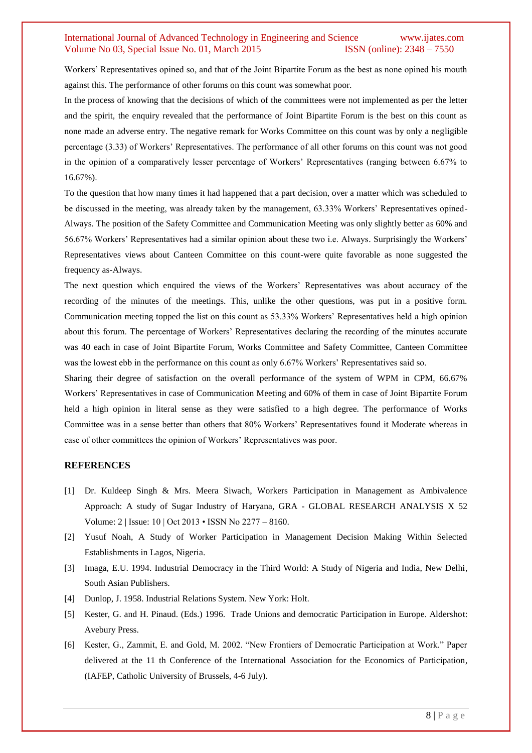Workers' Representatives opined so, and that of the Joint Bipartite Forum as the best as none opined his mouth against this. The performance of other forums on this count was somewhat poor.

In the process of knowing that the decisions of which of the committees were not implemented as per the letter and the spirit, the enquiry revealed that the performance of Joint Bipartite Forum is the best on this count as none made an adverse entry. The negative remark for Works Committee on this count was by only a negligible percentage (3.33) of Workers' Representatives. The performance of all other forums on this count was not good in the opinion of a comparatively lesser percentage of Workers' Representatives (ranging between 6.67% to 16.67%).

To the question that how many times it had happened that a part decision, over a matter which was scheduled to be discussed in the meeting, was already taken by the management, 63.33% Workers' Representatives opined-Always. The position of the Safety Committee and Communication Meeting was only slightly better as 60% and 56.67% Workers' Representatives had a similar opinion about these two i.e. Always. Surprisingly the Workers' Representatives views about Canteen Committee on this count-were quite favorable as none suggested the frequency as-Always.

The next question which enquired the views of the Workers' Representatives was about accuracy of the recording of the minutes of the meetings. This, unlike the other questions, was put in a positive form. Communication meeting topped the list on this count as 53.33% Workers' Representatives held a high opinion about this forum. The percentage of Workers' Representatives declaring the recording of the minutes accurate was 40 each in case of Joint Bipartite Forum, Works Committee and Safety Committee, Canteen Committee was the lowest ebb in the performance on this count as only 6.67% Workers' Representatives said so.

Sharing their degree of satisfaction on the overall performance of the system of WPM in CPM, 66.67% Workers' Representatives in case of Communication Meeting and 60% of them in case of Joint Bipartite Forum held a high opinion in literal sense as they were satisfied to a high degree. The performance of Works Committee was in a sense better than others that 80% Workers' Representatives found it Moderate whereas in case of other committees the opinion of Workers' Representatives was poor.

#### **REFERENCES**

- [1] Dr. Kuldeep Singh & Mrs. Meera Siwach, Workers Participation in Management as Ambivalence Approach: A study of Sugar Industry of Haryana, GRA - GLOBAL RESEARCH ANALYSIS X 52 Volume: 2 | Issue: 10 | Oct 2013 • ISSN No 2277 – 8160.
- [2] Yusuf Noah, A Study of Worker Participation in Management Decision Making Within Selected Establishments in Lagos, Nigeria.
- [3] Imaga, E.U. 1994. Industrial Democracy in the Third World: A Study of Nigeria and India, New Delhi, South Asian Publishers.
- [4] Dunlop, J. 1958. Industrial Relations System. New York: Holt.
- [5] Kester, G. and H. Pinaud. (Eds.) 1996. Trade Unions and democratic Participation in Europe. Aldershot: Avebury Press.
- [6] Kester, G., Zammit, E. and Gold, M. 2002. "New Frontiers of Democratic Participation at Work." Paper delivered at the 11 th Conference of the International Association for the Economics of Participation, (IAFEP, Catholic University of Brussels, 4-6 July).